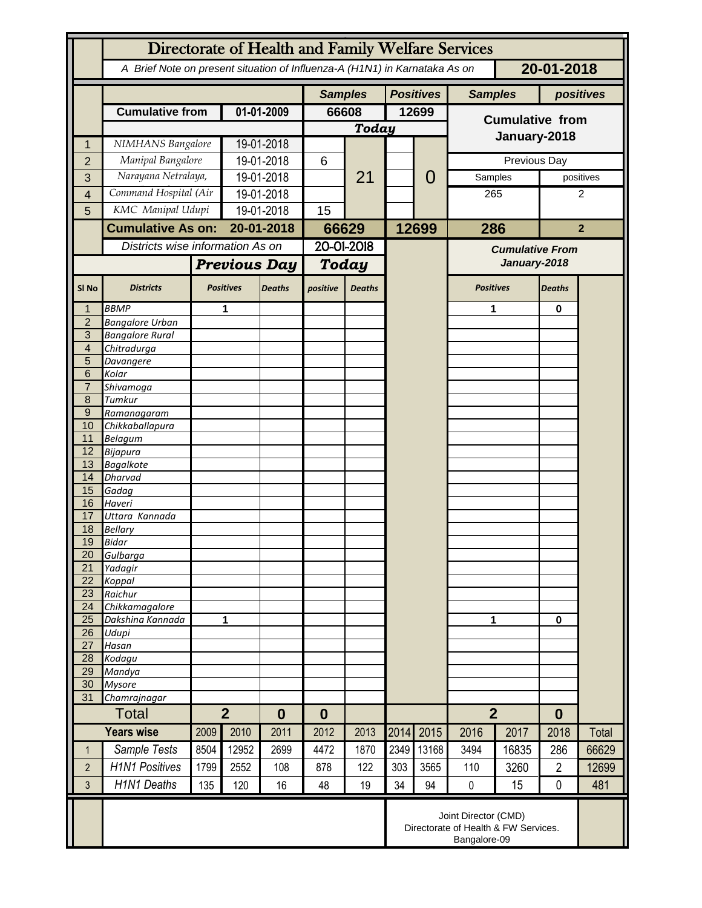|                                  | Directorate of Health and Family Welfare Services                                        |                          |                                    |               |                |               |       |                  |                                        |       |                |                |  |
|----------------------------------|------------------------------------------------------------------------------------------|--------------------------|------------------------------------|---------------|----------------|---------------|-------|------------------|----------------------------------------|-------|----------------|----------------|--|
|                                  | A Brief Note on present situation of Influenza-A (H1N1) in Karnataka As on<br>20-01-2018 |                          |                                    |               |                |               |       |                  |                                        |       |                |                |  |
|                                  |                                                                                          |                          |                                    |               | <b>Samples</b> |               |       | <b>Positives</b> | <b>Samples</b>                         |       | positives      |                |  |
|                                  | <b>Cumulative from</b>                                                                   |                          | 01-01-2009                         |               | 66608          |               | 12699 |                  | <b>Cumulative from</b><br>January-2018 |       |                |                |  |
|                                  |                                                                                          |                          |                                    |               | <b>Today</b>   |               |       |                  |                                        |       |                |                |  |
| 1                                | NIMHANS Bangalore                                                                        |                          | 19-01-2018                         |               |                | 21            |       |                  |                                        |       |                |                |  |
| $\overline{2}$                   | Manipal Bangalore                                                                        |                          | 19-01-2018                         |               | 6              |               |       | 0                | Previous Day                           |       |                |                |  |
| 3                                | Narayana Netralaya,                                                                      |                          | 19-01-2018                         |               |                |               |       |                  | Samples                                |       |                | positives      |  |
| 4                                | Command Hospital (Air                                                                    |                          | 19-01-2018                         |               |                |               |       |                  | 265                                    |       | 2              |                |  |
| 5                                | KMC Manipal Udupi                                                                        |                          | 19-01-2018                         |               | 15             |               |       |                  |                                        |       |                |                |  |
|                                  |                                                                                          | <b>Cumulative As on:</b> |                                    | 20-01-2018    |                | 66629         |       | 12699            | 286                                    |       |                | $\overline{2}$ |  |
|                                  | Districts wise information As on                                                         |                          |                                    |               | 20-01-2018     |               |       |                  | <b>Cumulative From</b>                 |       |                |                |  |
|                                  |                                                                                          |                          | <b>Previous Day</b>                |               | <b>Today</b>   |               |       |                  | January-2018                           |       |                |                |  |
|                                  |                                                                                          |                          |                                    |               |                |               |       |                  |                                        |       |                |                |  |
| SI <sub>No</sub>                 | <b>Districts</b>                                                                         |                          | <b>Positives</b>                   | <b>Deaths</b> | positive       | <b>Deaths</b> |       |                  | <b>Positives</b>                       |       | <b>Deaths</b>  |                |  |
|                                  | <b>BBMP</b>                                                                              |                          | 1                                  |               |                |               |       |                  | 1                                      |       | $\bf{0}$       |                |  |
| $\overline{2}$                   | <b>Bangalore Urban</b>                                                                   |                          |                                    |               |                |               |       |                  |                                        |       |                |                |  |
| $\overline{3}$<br>$\overline{4}$ | <b>Bangalore Rural</b><br>Chitradurga                                                    |                          |                                    |               |                |               |       |                  |                                        |       |                |                |  |
| 5                                | Davangere                                                                                |                          |                                    |               |                |               |       |                  |                                        |       |                |                |  |
| 6                                | Kolar                                                                                    |                          |                                    |               |                |               |       |                  |                                        |       |                |                |  |
| $\overline{7}$                   | Shivamoga                                                                                |                          |                                    |               |                |               |       |                  |                                        |       |                |                |  |
| 8                                | Tumkur                                                                                   |                          |                                    |               |                |               |       |                  |                                        |       |                |                |  |
| $\overline{9}$<br>10             | Ramanagaram                                                                              |                          |                                    |               |                |               |       |                  |                                        |       |                |                |  |
| 11                               | Chikkaballapura<br><b>Belagum</b>                                                        |                          |                                    |               |                |               |       |                  |                                        |       |                |                |  |
| 12                               | <b>Bijapura</b>                                                                          |                          |                                    |               |                |               |       |                  |                                        |       |                |                |  |
| 13                               | <b>Bagalkote</b>                                                                         |                          |                                    |               |                |               |       |                  |                                        |       |                |                |  |
| 14                               | <b>Dharvad</b>                                                                           |                          |                                    |               |                |               |       |                  |                                        |       |                |                |  |
| 15<br>16                         | Gadag                                                                                    |                          |                                    |               |                |               |       |                  |                                        |       |                |                |  |
| 17                               | Haveri<br>Uttara Kannada                                                                 |                          |                                    |               |                |               |       |                  |                                        |       |                |                |  |
| 18                               | <b>Bellary</b>                                                                           |                          |                                    |               |                |               |       |                  |                                        |       |                |                |  |
| 19                               | <b>Bidar</b>                                                                             |                          |                                    |               |                |               |       |                  |                                        |       |                |                |  |
| 20                               | Gulbarga                                                                                 |                          |                                    |               |                |               |       |                  |                                        |       |                |                |  |
| 21                               | Yadagir                                                                                  |                          |                                    |               |                |               |       |                  |                                        |       |                |                |  |
| 22<br>23                         | Koppal<br>Raichur                                                                        |                          |                                    |               |                |               |       |                  |                                        |       |                |                |  |
| 24                               | Chikkamagalore                                                                           |                          |                                    |               |                |               |       |                  |                                        |       |                |                |  |
| 25                               | Dakshina Kannada                                                                         | 1                        |                                    |               |                |               |       |                  | 1                                      |       | $\mathbf 0$    |                |  |
| 26                               | Udupi                                                                                    |                          |                                    |               |                |               |       |                  |                                        |       |                |                |  |
| 27                               | Hasan                                                                                    |                          |                                    |               |                |               |       |                  |                                        |       |                |                |  |
| 28<br>29                         | Kodagu<br>Mandya                                                                         |                          |                                    |               |                |               |       |                  |                                        |       |                |                |  |
| 30                               | <b>Mysore</b>                                                                            |                          |                                    |               |                |               |       |                  |                                        |       |                |                |  |
| 31                               | Chamrajnagar                                                                             |                          |                                    |               |                |               |       |                  |                                        |       |                |                |  |
|                                  | <b>Total</b>                                                                             |                          | $\overline{2}$<br>$\boldsymbol{0}$ |               | $\bf{0}$       |               |       |                  | $\overline{2}$                         |       | $\bf{0}$       |                |  |
|                                  | <b>Years wise</b>                                                                        | 2009                     | 2010                               | 2011          | 2012           | 2013          | 2014  | 2015             | 2016                                   | 2017  | 2018           | Total          |  |
| 1                                | Sample Tests                                                                             | 8504                     | 12952                              | 2699          | 4472           | 1870          | 2349  | 13168            | 3494                                   | 16835 | 286            | 66629          |  |
| $\overline{2}$                   | <b>H1N1 Positives</b>                                                                    | 1799                     | 2552                               | 108           | 878            | 122           | 303   | 3565             | 110                                    | 3260  | $\overline{2}$ | 12699          |  |
| 3                                | <b>H1N1 Deaths</b>                                                                       | 135                      | 120                                | 16            | 48             | 19            | 34    | 94               | $\pmb{0}$                              | 15    | $\mathbf 0$    | 481            |  |
|                                  | Joint Director (CMD)<br>Directorate of Health & FW Services.<br>Bangalore-09             |                          |                                    |               |                |               |       |                  |                                        |       |                |                |  |